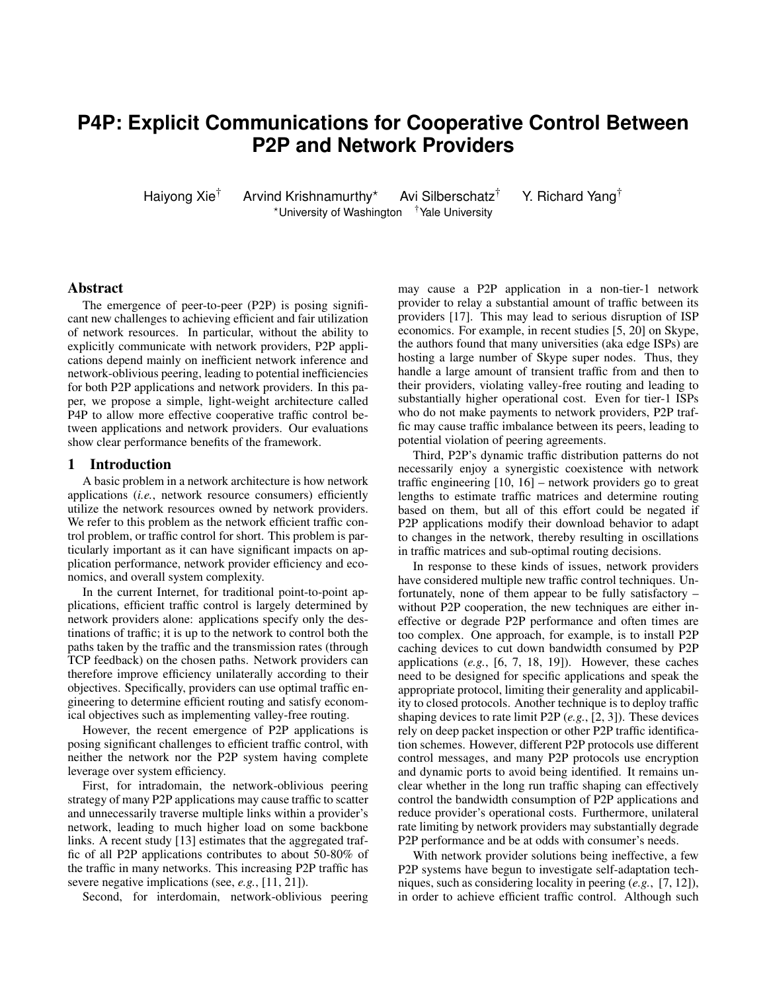# **P4P: Explicit Communications for Cooperative Control Between P2P and Network Providers**

Haiyong Xie<sup>†</sup> Arvind Krishnamurthy<sup>\*</sup> Avi Silberschatz<sup>†</sup> Y. Richard Yang<sup>†</sup> \*University of Washington <sup>†</sup>Yale University

# Abstract

The emergence of peer-to-peer (P2P) is posing significant new challenges to achieving efficient and fair utilization of network resources. In particular, without the ability to explicitly communicate with network providers, P2P applications depend mainly on inefficient network inference and network-oblivious peering, leading to potential inefficiencies for both P2P applications and network providers. In this paper, we propose a simple, light-weight architecture called P4P to allow more effective cooperative traffic control between applications and network providers. Our evaluations show clear performance benefits of the framework.

# 1 Introduction

A basic problem in a network architecture is how network applications (*i.e.*, network resource consumers) efficiently utilize the network resources owned by network providers. We refer to this problem as the network efficient traffic control problem, or traffic control for short. This problem is particularly important as it can have significant impacts on application performance, network provider efficiency and economics, and overall system complexity.

In the current Internet, for traditional point-to-point applications, efficient traffic control is largely determined by network providers alone: applications specify only the destinations of traffic; it is up to the network to control both the paths taken by the traffic and the transmission rates (through TCP feedback) on the chosen paths. Network providers can therefore improve efficiency unilaterally according to their objectives. Specifically, providers can use optimal traffic engineering to determine efficient routing and satisfy economical objectives such as implementing valley-free routing.

However, the recent emergence of P2P applications is posing significant challenges to efficient traffic control, with neither the network nor the P2P system having complete leverage over system efficiency.

First, for intradomain, the network-oblivious peering strategy of many P2P applications may cause traffic to scatter and unnecessarily traverse multiple links within a provider's network, leading to much higher load on some backbone links. A recent study [13] estimates that the aggregated traffic of all P2P applications contributes to about 50-80% of the traffic in many networks. This increasing P2P traffic has severe negative implications (see, *e.g.*, [11, 21]).

Second, for interdomain, network-oblivious peering

may cause a P2P application in a non-tier-1 network provider to relay a substantial amount of traffic between its providers [17]. This may lead to serious disruption of ISP economics. For example, in recent studies [5, 20] on Skype, the authors found that many universities (aka edge ISPs) are hosting a large number of Skype super nodes. Thus, they handle a large amount of transient traffic from and then to their providers, violating valley-free routing and leading to substantially higher operational cost. Even for tier-1 ISPs who do not make payments to network providers, P2P traffic may cause traffic imbalance between its peers, leading to potential violation of peering agreements.

Third, P2P's dynamic traffic distribution patterns do not necessarily enjoy a synergistic coexistence with network traffic engineering [10, 16] – network providers go to great lengths to estimate traffic matrices and determine routing based on them, but all of this effort could be negated if P2P applications modify their download behavior to adapt to changes in the network, thereby resulting in oscillations in traffic matrices and sub-optimal routing decisions.

In response to these kinds of issues, network providers have considered multiple new traffic control techniques. Unfortunately, none of them appear to be fully satisfactory – without P2P cooperation, the new techniques are either ineffective or degrade P2P performance and often times are too complex. One approach, for example, is to install P2P caching devices to cut down bandwidth consumed by P2P applications (*e.g.*, [6, 7, 18, 19]). However, these caches need to be designed for specific applications and speak the appropriate protocol, limiting their generality and applicability to closed protocols. Another technique is to deploy traffic shaping devices to rate limit P2P (*e.g.*, [2, 3]). These devices rely on deep packet inspection or other P2P traffic identification schemes. However, different P2P protocols use different control messages, and many P2P protocols use encryption and dynamic ports to avoid being identified. It remains unclear whether in the long run traffic shaping can effectively control the bandwidth consumption of P2P applications and reduce provider's operational costs. Furthermore, unilateral rate limiting by network providers may substantially degrade P2P performance and be at odds with consumer's needs.

With network provider solutions being ineffective, a few P2P systems have begun to investigate self-adaptation techniques, such as considering locality in peering (*e.g.*, [7, 12]), in order to achieve efficient traffic control. Although such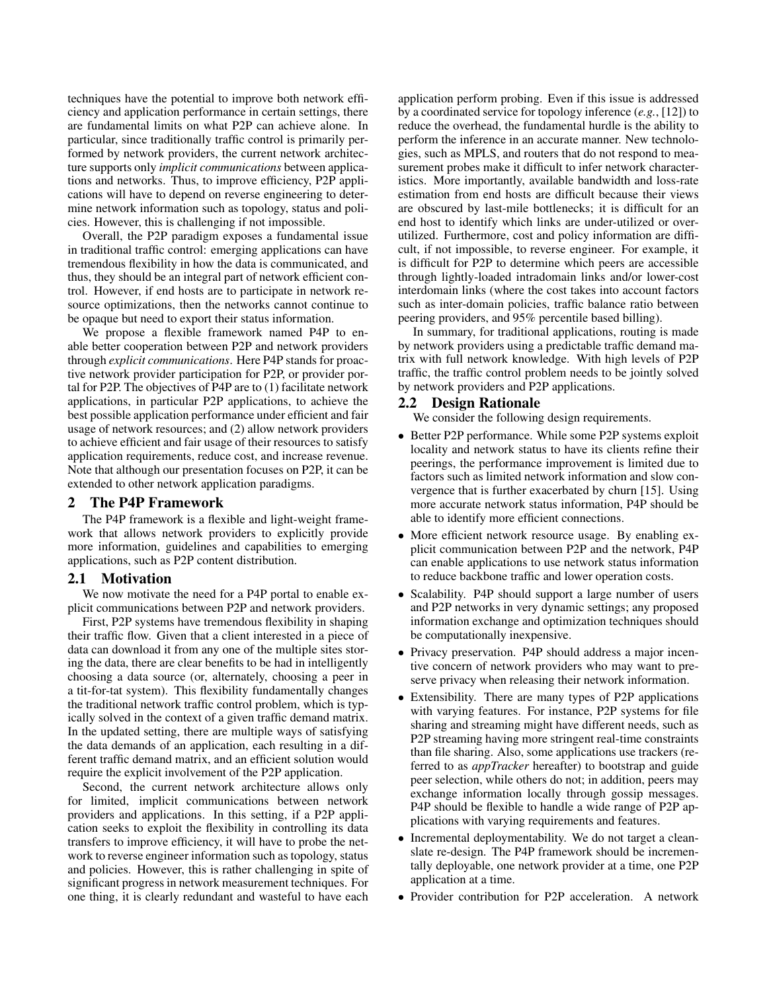techniques have the potential to improve both network efficiency and application performance in certain settings, there are fundamental limits on what P2P can achieve alone. In particular, since traditionally traffic control is primarily performed by network providers, the current network architecture supports only *implicit communications* between applications and networks. Thus, to improve efficiency, P2P applications will have to depend on reverse engineering to determine network information such as topology, status and policies. However, this is challenging if not impossible.

Overall, the P2P paradigm exposes a fundamental issue in traditional traffic control: emerging applications can have tremendous flexibility in how the data is communicated, and thus, they should be an integral part of network efficient control. However, if end hosts are to participate in network resource optimizations, then the networks cannot continue to be opaque but need to export their status information.

We propose a flexible framework named P4P to enable better cooperation between P2P and network providers through *explicit communications*. Here P4P stands for proactive network provider participation for P2P, or provider portal for P2P. The objectives of P4P are to (1) facilitate network applications, in particular P2P applications, to achieve the best possible application performance under efficient and fair usage of network resources; and (2) allow network providers to achieve efficient and fair usage of their resources to satisfy application requirements, reduce cost, and increase revenue. Note that although our presentation focuses on P2P, it can be extended to other network application paradigms.

# 2 The P4P Framework

The P4P framework is a flexible and light-weight framework that allows network providers to explicitly provide more information, guidelines and capabilities to emerging applications, such as P2P content distribution.

## 2.1 Motivation

We now motivate the need for a P4P portal to enable explicit communications between P2P and network providers.

First, P2P systems have tremendous flexibility in shaping their traffic flow. Given that a client interested in a piece of data can download it from any one of the multiple sites storing the data, there are clear benefits to be had in intelligently choosing a data source (or, alternately, choosing a peer in a tit-for-tat system). This flexibility fundamentally changes the traditional network traffic control problem, which is typically solved in the context of a given traffic demand matrix. In the updated setting, there are multiple ways of satisfying the data demands of an application, each resulting in a different traffic demand matrix, and an efficient solution would require the explicit involvement of the P2P application.

Second, the current network architecture allows only for limited, implicit communications between network providers and applications. In this setting, if a P2P application seeks to exploit the flexibility in controlling its data transfers to improve efficiency, it will have to probe the network to reverse engineer information such as topology, status and policies. However, this is rather challenging in spite of significant progress in network measurement techniques. For one thing, it is clearly redundant and wasteful to have each

application perform probing. Even if this issue is addressed by a coordinated service for topology inference (*e.g.*, [12]) to reduce the overhead, the fundamental hurdle is the ability to perform the inference in an accurate manner. New technologies, such as MPLS, and routers that do not respond to measurement probes make it difficult to infer network characteristics. More importantly, available bandwidth and loss-rate estimation from end hosts are difficult because their views are obscured by last-mile bottlenecks; it is difficult for an end host to identify which links are under-utilized or overutilized. Furthermore, cost and policy information are difficult, if not impossible, to reverse engineer. For example, it is difficult for P2P to determine which peers are accessible through lightly-loaded intradomain links and/or lower-cost interdomain links (where the cost takes into account factors such as inter-domain policies, traffic balance ratio between peering providers, and 95% percentile based billing).

In summary, for traditional applications, routing is made by network providers using a predictable traffic demand matrix with full network knowledge. With high levels of P2P traffic, the traffic control problem needs to be jointly solved by network providers and P2P applications.

## 2.2 Design Rationale

We consider the following design requirements.

- Better P2P performance. While some P2P systems exploit locality and network status to have its clients refine their peerings, the performance improvement is limited due to factors such as limited network information and slow convergence that is further exacerbated by churn [15]. Using more accurate network status information, P4P should be able to identify more efficient connections.
- More efficient network resource usage. By enabling explicit communication between P2P and the network, P4P can enable applications to use network status information to reduce backbone traffic and lower operation costs.
- Scalability. P4P should support a large number of users and P2P networks in very dynamic settings; any proposed information exchange and optimization techniques should be computationally inexpensive.
- Privacy preservation. P4P should address a major incentive concern of network providers who may want to preserve privacy when releasing their network information.
- Extensibility. There are many types of P2P applications with varying features. For instance, P2P systems for file sharing and streaming might have different needs, such as P2P streaming having more stringent real-time constraints than file sharing. Also, some applications use trackers (referred to as *appTracker* hereafter) to bootstrap and guide peer selection, while others do not; in addition, peers may exchange information locally through gossip messages. P4P should be flexible to handle a wide range of P2P applications with varying requirements and features.
- Incremental deploymentability. We do not target a cleanslate re-design. The P4P framework should be incrementally deployable, one network provider at a time, one P2P application at a time.
- Provider contribution for P2P acceleration. A network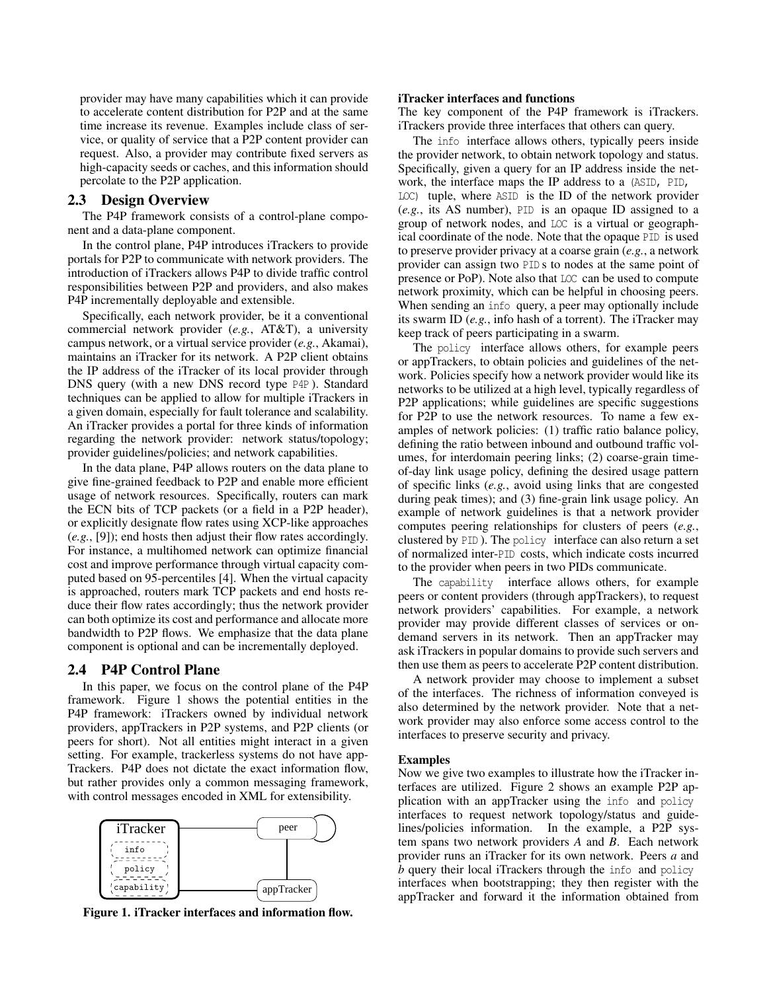provider may have many capabilities which it can provide to accelerate content distribution for P2P and at the same time increase its revenue. Examples include class of service, or quality of service that a P2P content provider can request. Also, a provider may contribute fixed servers as high-capacity seeds or caches, and this information should percolate to the P2P application.

# 2.3 Design Overview

The P4P framework consists of a control-plane component and a data-plane component.

In the control plane, P4P introduces iTrackers to provide portals for P2P to communicate with network providers. The introduction of iTrackers allows P4P to divide traffic control responsibilities between P2P and providers, and also makes P4P incrementally deployable and extensible.

Specifically, each network provider, be it a conventional commercial network provider (*e.g.*, AT&T), a university campus network, or a virtual service provider (*e.g.*, Akamai), maintains an iTracker for its network. A P2P client obtains the IP address of the iTracker of its local provider through DNS query (with a new DNS record type P4P ). Standard techniques can be applied to allow for multiple iTrackers in a given domain, especially for fault tolerance and scalability. An iTracker provides a portal for three kinds of information regarding the network provider: network status/topology; provider guidelines/policies; and network capabilities.

In the data plane, P4P allows routers on the data plane to give fine-grained feedback to P2P and enable more efficient usage of network resources. Specifically, routers can mark the ECN bits of TCP packets (or a field in a P2P header), or explicitly designate flow rates using XCP-like approaches (*e.g.*, [9]); end hosts then adjust their flow rates accordingly. For instance, a multihomed network can optimize financial cost and improve performance through virtual capacity computed based on 95-percentiles [4]. When the virtual capacity is approached, routers mark TCP packets and end hosts reduce their flow rates accordingly; thus the network provider can both optimize its cost and performance and allocate more bandwidth to P2P flows. We emphasize that the data plane component is optional and can be incrementally deployed.

# 2.4 P4P Control Plane

In this paper, we focus on the control plane of the P4P framework. Figure 1 shows the potential entities in the P4P framework: iTrackers owned by individual network providers, appTrackers in P2P systems, and P2P clients (or peers for short). Not all entities might interact in a given setting. For example, trackerless systems do not have app-Trackers. P4P does not dictate the exact information flow, but rather provides only a common messaging framework, with control messages encoded in XML for extensibility.



Figure 1. iTracker interfaces and information flow.

## iTracker interfaces and functions

The key component of the P4P framework is iTrackers. iTrackers provide three interfaces that others can query.

The info interface allows others, typically peers inside the provider network, to obtain network topology and status. Specifically, given a query for an IP address inside the network, the interface maps the IP address to a (ASID, PID, LOC) tuple, where ASID is the ID of the network provider (*e.g.*, its AS number), PID is an opaque ID assigned to a group of network nodes, and LOC is a virtual or geographical coordinate of the node. Note that the opaque PID is used to preserve provider privacy at a coarse grain (*e.g.*, a network provider can assign two PID s to nodes at the same point of presence or PoP). Note also that LOC can be used to compute network proximity, which can be helpful in choosing peers. When sending an info query, a peer may optionally include its swarm ID (*e.g.*, info hash of a torrent). The iTracker may keep track of peers participating in a swarm.

The policy interface allows others, for example peers or appTrackers, to obtain policies and guidelines of the network. Policies specify how a network provider would like its networks to be utilized at a high level, typically regardless of P2P applications; while guidelines are specific suggestions for P2P to use the network resources. To name a few examples of network policies: (1) traffic ratio balance policy, defining the ratio between inbound and outbound traffic volumes, for interdomain peering links; (2) coarse-grain timeof-day link usage policy, defining the desired usage pattern of specific links (*e.g.*, avoid using links that are congested during peak times); and (3) fine-grain link usage policy. An example of network guidelines is that a network provider computes peering relationships for clusters of peers (*e.g.*, clustered by PID ). The policy interface can also return a set of normalized inter-PID costs, which indicate costs incurred to the provider when peers in two PIDs communicate.

The capability interface allows others, for example peers or content providers (through appTrackers), to request network providers' capabilities. For example, a network provider may provide different classes of services or ondemand servers in its network. Then an appTracker may ask iTrackers in popular domains to provide such servers and then use them as peers to accelerate P2P content distribution.

A network provider may choose to implement a subset of the interfaces. The richness of information conveyed is also determined by the network provider. Note that a network provider may also enforce some access control to the interfaces to preserve security and privacy.

#### Examples

Now we give two examples to illustrate how the iTracker interfaces are utilized. Figure 2 shows an example P2P application with an appTracker using the info and policy interfaces to request network topology/status and guidelines/policies information. In the example, a P2P system spans two network providers *A* and *B*. Each network provider runs an iTracker for its own network. Peers *a* and *b* query their local iTrackers through the info and policy interfaces when bootstrapping; they then register with the appTracker and forward it the information obtained from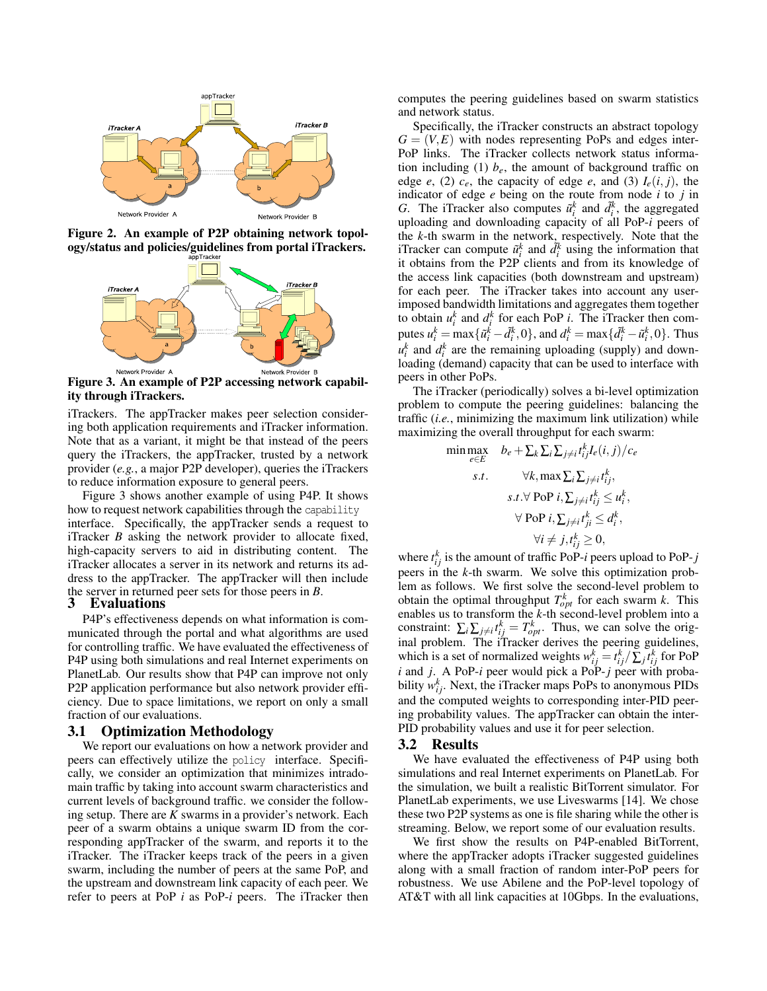

Figure 2. An example of P2P obtaining network topology/status and policies/guidelines from portal iTrackers.



Figure 3. An example of P2P accessing network capability through iTrackers.

iTrackers. The appTracker makes peer selection considering both application requirements and iTracker information. Note that as a variant, it might be that instead of the peers query the iTrackers, the appTracker, trusted by a network provider (*e.g.*, a major P2P developer), queries the iTrackers to reduce information exposure to general peers.

Figure 3 shows another example of using P4P. It shows how to request network capabilities through the capability interface. Specifically, the appTracker sends a request to iTracker *B* asking the network provider to allocate fixed, high-capacity servers to aid in distributing content. The iTracker allocates a server in its network and returns its address to the appTracker. The appTracker will then include the server in returned peer sets for those peers in *B*.

## 3 Evaluations

P4P's effectiveness depends on what information is communicated through the portal and what algorithms are used for controlling traffic. We have evaluated the effectiveness of P4P using both simulations and real Internet experiments on PlanetLab. Our results show that P4P can improve not only P2P application performance but also network provider efficiency. Due to space limitations, we report on only a small fraction of our evaluations.

# 3.1 Optimization Methodology

We report our evaluations on how a network provider and peers can effectively utilize the policy interface. Specifically, we consider an optimization that minimizes intradomain traffic by taking into account swarm characteristics and current levels of background traffic. we consider the following setup. There are *K* swarms in a provider's network. Each peer of a swarm obtains a unique swarm ID from the corresponding appTracker of the swarm, and reports it to the iTracker. The iTracker keeps track of the peers in a given swarm, including the number of peers at the same PoP, and the upstream and downstream link capacity of each peer. We refer to peers at PoP *i* as PoP-*i* peers. The iTracker then computes the peering guidelines based on swarm statistics and network status.

Specifically, the iTracker constructs an abstract topology  $G = (V, E)$  with nodes representing PoPs and edges inter-PoP links. The iTracker collects network status information including (1)  $b_e$ , the amount of background traffic on edge *e*, (2)  $c_e$ , the capacity of edge *e*, and (3)  $I_e(i, j)$ , the indicator of edge *e* being on the route from node *i* to *j* in *G*. The iTracker also computes  $\tilde{u}_i^k$  and  $\tilde{d}_i^k$ , the aggregated uploading and downloading capacity of all PoP-*i* peers of the *k*-th swarm in the network, respectively. Note that the iTracker can compute  $\tilde{u}_i^k$  and  $\tilde{d}_i^k$  using the information that it obtains from the P2P clients and from its knowledge of the access link capacities (both downstream and upstream) for each peer. The iTracker takes into account any userimposed bandwidth limitations and aggregates them together to obtain  $u_i^k$  and  $d_i^k$  for each PoP *i*. The iTracker then computes  $u_i^k = \max{\{\tilde{u}_i^k - \tilde{d}_i^k, 0\}}$ , and  $d_i^k = \max{\{\tilde{d}_i^k - \tilde{u}_i^k, 0\}}$ . Thus  $u_i^k$  and  $d_i^k$  are the remaining uploading (supply) and downloading (demand) capacity that can be used to interface with peers in other PoPs.

The iTracker (periodically) solves a bi-level optimization problem to compute the peering guidelines: balancing the traffic (*i.e.*, minimizing the maximum link utilization) while maximizing the overall throughput for each swarm:

$$
\min \max_{e \in E} \quad b_e + \sum_k \sum_i \sum_{j \neq i} t_{ij}^k I_e(i, j) / c_e
$$
\n
$$
s.t. \quad \forall k, \max \sum_i \sum_{j \neq i} t_{ij}^k,
$$
\n
$$
s.t. \forall \text{PoP } i, \sum_{j \neq i} t_{ij}^k \leq u_i^k,
$$
\n
$$
\forall \text{PoP } i, \sum_{j \neq i} t_{ji}^k \leq d_i^k,
$$
\n
$$
\forall i \neq j, t_{ij}^k \geq 0,
$$

where  $t_{ij}^k$  is the amount of traffic PoP-*i* peers upload to PoP-*j* peers in the *k*-th swarm. We solve this optimization problem as follows. We first solve the second-level problem to obtain the optimal throughput  $T_{opt}^k$  for each swarm *k*. This enables us to transform the *k*-th second-level problem into a constraint:  $\sum_i \sum_{j \neq i} t_{ij}^k = T_{opt}^k$ . Thus, we can solve the original problem. The iTracker derives the peering guidelines, which is a set of normalized weights  $w_{ij}^k = t_{ij}^k / \sum_j t_{ij}^k$  for PoP *i* and *j*. A PoP-*i* peer would pick a PoP-*j* peer with probability  $w_{ij}^k$ . Next, the iTracker maps PoPs to anonymous PIDs and the computed weights to corresponding inter-PID peering probability values. The appTracker can obtain the inter-PID probability values and use it for peer selection.

### 3.2 Results

We have evaluated the effectiveness of P4P using both simulations and real Internet experiments on PlanetLab. For the simulation, we built a realistic BitTorrent simulator. For PlanetLab experiments, we use Liveswarms [14]. We chose these two P2P systems as one is file sharing while the other is streaming. Below, we report some of our evaluation results.

We first show the results on P4P-enabled BitTorrent, where the appTracker adopts iTracker suggested guidelines along with a small fraction of random inter-PoP peers for robustness. We use Abilene and the PoP-level topology of AT&T with all link capacities at 10Gbps. In the evaluations,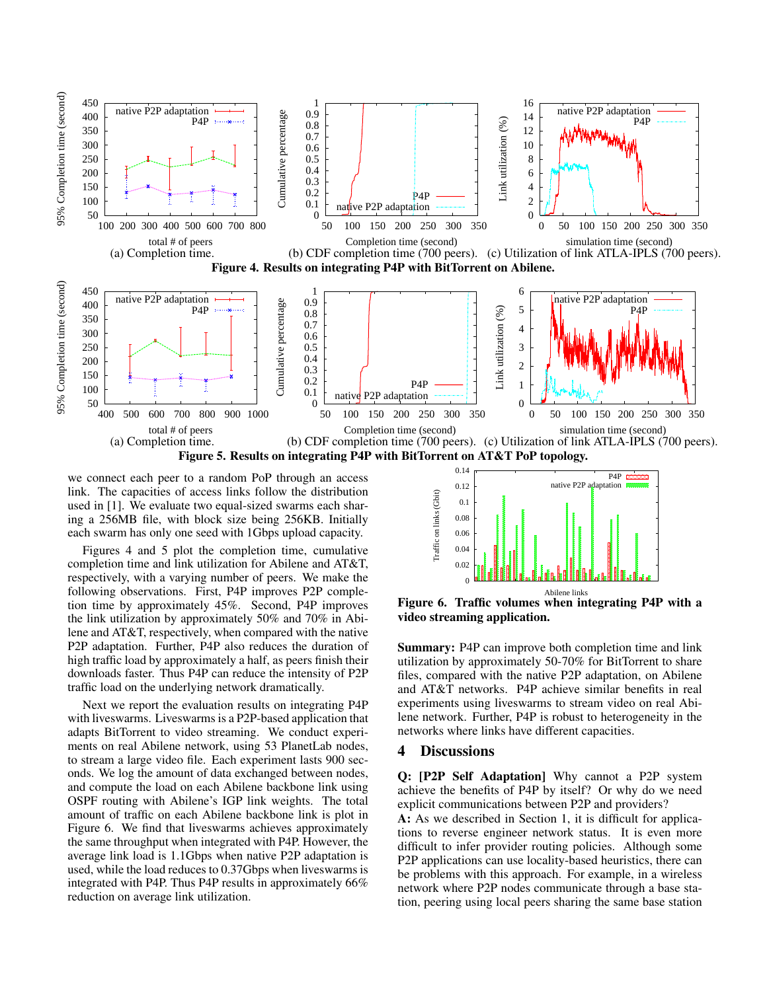

we connect each peer to a random PoP through an access link. The capacities of access links follow the distribution used in [1]. We evaluate two equal-sized swarms each sharing a 256MB file, with block size being 256KB. Initially each swarm has only one seed with 1Gbps upload capacity.

Figures 4 and 5 plot the completion time, cumulative completion time and link utilization for Abilene and AT&T, respectively, with a varying number of peers. We make the following observations. First, P4P improves P2P completion time by approximately 45%. Second, P4P improves the link utilization by approximately 50% and 70% in Abilene and AT&T, respectively, when compared with the native P2P adaptation. Further, P4P also reduces the duration of high traffic load by approximately a half, as peers finish their downloads faster. Thus P4P can reduce the intensity of P2P traffic load on the underlying network dramatically.

Next we report the evaluation results on integrating P4P with liveswarms. Liveswarms is a P2P-based application that adapts BitTorrent to video streaming. We conduct experiments on real Abilene network, using 53 PlanetLab nodes, to stream a large video file. Each experiment lasts 900 seconds. We log the amount of data exchanged between nodes, and compute the load on each Abilene backbone link using OSPF routing with Abilene's IGP link weights. The total amount of traffic on each Abilene backbone link is plot in Figure 6. We find that liveswarms achieves approximately the same throughput when integrated with P4P. However, the average link load is 1.1Gbps when native P2P adaptation is used, while the load reduces to 0.37Gbps when liveswarms is integrated with P4P. Thus P4P results in approximately 66% reduction on average link utilization.



Figure 6. Traffic volumes when integrating P4P with a video streaming application.

Summary: P4P can improve both completion time and link utilization by approximately 50-70% for BitTorrent to share files, compared with the native P2P adaptation, on Abilene and AT&T networks. P4P achieve similar benefits in real experiments using liveswarms to stream video on real Abilene network. Further, P4P is robust to heterogeneity in the networks where links have different capacities.

## 4 Discussions

Q: [P2P Self Adaptation] Why cannot a P2P system achieve the benefits of P4P by itself? Or why do we need explicit communications between P2P and providers?

A: As we described in Section 1, it is difficult for applications to reverse engineer network status. It is even more difficult to infer provider routing policies. Although some P2P applications can use locality-based heuristics, there can be problems with this approach. For example, in a wireless network where P2P nodes communicate through a base station, peering using local peers sharing the same base station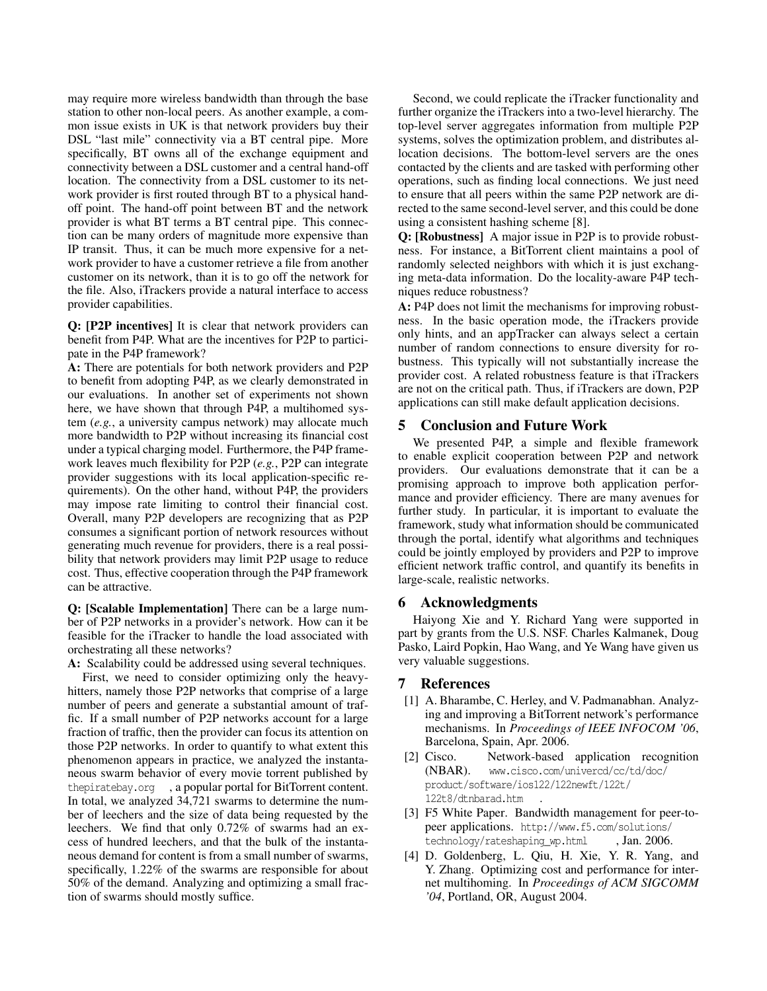may require more wireless bandwidth than through the base station to other non-local peers. As another example, a common issue exists in UK is that network providers buy their DSL "last mile" connectivity via a BT central pipe. More specifically, BT owns all of the exchange equipment and connectivity between a DSL customer and a central hand-off location. The connectivity from a DSL customer to its network provider is first routed through BT to a physical handoff point. The hand-off point between BT and the network provider is what BT terms a BT central pipe. This connection can be many orders of magnitude more expensive than IP transit. Thus, it can be much more expensive for a network provider to have a customer retrieve a file from another customer on its network, than it is to go off the network for the file. Also, iTrackers provide a natural interface to access provider capabilities.

Q: [P2P incentives] It is clear that network providers can benefit from P4P. What are the incentives for P2P to participate in the P4P framework?

A: There are potentials for both network providers and P2P to benefit from adopting P4P, as we clearly demonstrated in our evaluations. In another set of experiments not shown here, we have shown that through P4P, a multihomed system (*e.g.*, a university campus network) may allocate much more bandwidth to P2P without increasing its financial cost under a typical charging model. Furthermore, the P4P framework leaves much flexibility for P2P (*e.g.*, P2P can integrate provider suggestions with its local application-specific requirements). On the other hand, without P4P, the providers may impose rate limiting to control their financial cost. Overall, many P2P developers are recognizing that as P2P consumes a significant portion of network resources without generating much revenue for providers, there is a real possibility that network providers may limit P2P usage to reduce cost. Thus, effective cooperation through the P4P framework can be attractive.

Q: [Scalable Implementation] There can be a large number of P2P networks in a provider's network. How can it be feasible for the iTracker to handle the load associated with orchestrating all these networks?

A: Scalability could be addressed using several techniques.

First, we need to consider optimizing only the heavyhitters, namely those P2P networks that comprise of a large number of peers and generate a substantial amount of traffic. If a small number of P2P networks account for a large fraction of traffic, then the provider can focus its attention on those P2P networks. In order to quantify to what extent this phenomenon appears in practice, we analyzed the instantaneous swarm behavior of every movie torrent published by thepiratebay.org , a popular portal for BitTorrent content. In total, we analyzed 34,721 swarms to determine the number of leechers and the size of data being requested by the leechers. We find that only 0.72% of swarms had an excess of hundred leechers, and that the bulk of the instantaneous demand for content is from a small number of swarms, specifically, 1.22% of the swarms are responsible for about 50% of the demand. Analyzing and optimizing a small fraction of swarms should mostly suffice.

Second, we could replicate the iTracker functionality and further organize the iTrackers into a two-level hierarchy. The top-level server aggregates information from multiple P2P systems, solves the optimization problem, and distributes allocation decisions. The bottom-level servers are the ones contacted by the clients and are tasked with performing other operations, such as finding local connections. We just need to ensure that all peers within the same P2P network are directed to the same second-level server, and this could be done using a consistent hashing scheme [8].

Q: [Robustness] A major issue in P2P is to provide robustness. For instance, a BitTorrent client maintains a pool of randomly selected neighbors with which it is just exchanging meta-data information. Do the locality-aware P4P techniques reduce robustness?

A: P4P does not limit the mechanisms for improving robustness. In the basic operation mode, the iTrackers provide only hints, and an appTracker can always select a certain number of random connections to ensure diversity for robustness. This typically will not substantially increase the provider cost. A related robustness feature is that iTrackers are not on the critical path. Thus, if iTrackers are down, P2P applications can still make default application decisions.

# 5 Conclusion and Future Work

We presented P4P, a simple and flexible framework to enable explicit cooperation between P2P and network providers. Our evaluations demonstrate that it can be a promising approach to improve both application performance and provider efficiency. There are many avenues for further study. In particular, it is important to evaluate the framework, study what information should be communicated through the portal, identify what algorithms and techniques could be jointly employed by providers and P2P to improve efficient network traffic control, and quantify its benefits in large-scale, realistic networks.

## 6 Acknowledgments

Haiyong Xie and Y. Richard Yang were supported in part by grants from the U.S. NSF. Charles Kalmanek, Doug Pasko, Laird Popkin, Hao Wang, and Ye Wang have given us very valuable suggestions.

# 7 References

- [1] A. Bharambe, C. Herley, and V. Padmanabhan. Analyzing and improving a BitTorrent network's performance mechanisms. In *Proceedings of IEEE INFOCOM '06*, Barcelona, Spain, Apr. 2006.
- [2] Cisco. Network-based application recognition (NBAR). www.cisco.com/univercd/cc/td/doc/ product/software/ios122/122newft/122t/ 122t8/dtnbarad.htm .
- [3] F5 White Paper. Bandwidth management for peer-topeer applications. http://www.f5.com/solutions/ technology/rateshaping\_wp.html , Jan. 2006.
- [4] D. Goldenberg, L. Qiu, H. Xie, Y. R. Yang, and Y. Zhang. Optimizing cost and performance for internet multihoming. In *Proceedings of ACM SIGCOMM '04*, Portland, OR, August 2004.